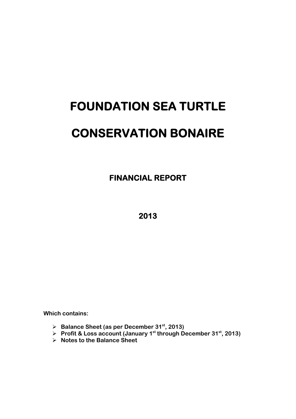# **FOUNDATION SEA TURTLE CONSERVATION BONAIRE**

 **FINANCIAL REPORT** 

**2013** 

**Which contains:** 

- **Balance Sheet (as per December 31st, 2013)**
- **Profit & Loss account (January 1st through December 31st, 2013)**
- **Notes to the Balance Sheet**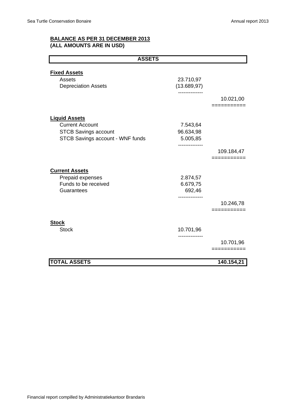# **BALANCE AS PER 31 DECEMBER 2013 (ALL AMOUNTS ARE IN USD)**

| <b>ASSETS</b>                    |                               |             |
|----------------------------------|-------------------------------|-------------|
|                                  |                               |             |
| <b>Fixed Assets</b>              |                               |             |
| Assets                           | 23.710,97                     |             |
| <b>Depreciation Assets</b>       | (13.689, 97)<br>------------- |             |
|                                  |                               | 10.021,00   |
|                                  |                               | ==========  |
|                                  |                               |             |
| <b>Liquid Assets</b>             |                               |             |
| <b>Current Account</b>           | 7.543,64                      |             |
| <b>STCB Savings account</b>      | 96.634,98                     |             |
| STCB Savings account - WNF funds | 5.005,85                      |             |
|                                  |                               | 109.184,47  |
|                                  |                               | _______     |
|                                  |                               |             |
| <b>Current Assets</b>            |                               |             |
| Prepaid expenses                 | 2.874,57                      |             |
| Funds to be received             | 6.679,75                      |             |
| Guarantees                       | 692,46                        |             |
|                                  |                               | 10.246,78   |
|                                  |                               | =========== |
|                                  |                               |             |
| <b>Stock</b>                     |                               |             |
| <b>Stock</b>                     | 10.701,96                     |             |
|                                  |                               | 10.701,96   |
|                                  |                               | ==========  |
| <b>TOTAL ASSETS</b>              |                               | 140.154,21  |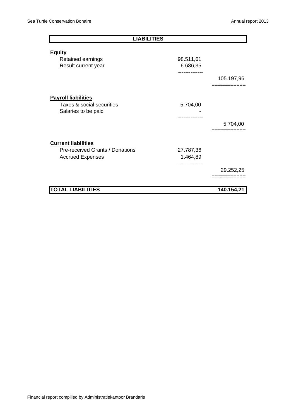| <b>LIABILITIES</b>                                                             |                                                  |                          |  |  |  |
|--------------------------------------------------------------------------------|--------------------------------------------------|--------------------------|--|--|--|
| <b>Equity</b>                                                                  |                                                  |                          |  |  |  |
| Retained earnings<br>Result current year                                       | 98.511,61<br>6.686,35<br>                        |                          |  |  |  |
|                                                                                |                                                  | 105.197,96<br>:========= |  |  |  |
| <b>Payroll liabilities</b><br>Taxes & social securities<br>Salaries to be paid | 5.704,00                                         |                          |  |  |  |
|                                                                                |                                                  | 5.704,00                 |  |  |  |
| <b>Current liabilities</b>                                                     |                                                  |                          |  |  |  |
| Pre-received Grants / Donations<br><b>Accrued Expenses</b>                     | 27.787,36<br>1.464,89<br>. - - - - - - - - - - . |                          |  |  |  |
|                                                                                |                                                  | 29.252,25                |  |  |  |
| <b>TOTAL LIABILITIES</b>                                                       |                                                  | 140.154,21               |  |  |  |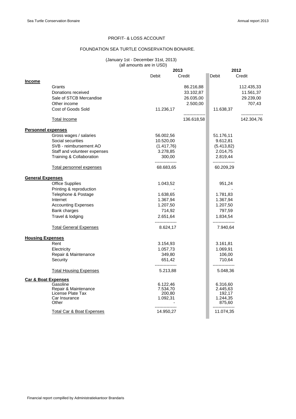#### PROFIT- & LOSS ACCOUNT

#### FOUNDATION SEA TURTLE CONSERVATION BONAIRE.

#### (January 1st - December 31st, 2013) (all amounts are in USD)

|                                |                                           |                             | 2013          |                             | 2012            |  |
|--------------------------------|-------------------------------------------|-----------------------------|---------------|-----------------------------|-----------------|--|
|                                |                                           | Debit                       | Credit        | Debit                       | Credit          |  |
| <b>Income</b>                  |                                           |                             |               |                             |                 |  |
|                                | Grants                                    |                             | 86.216,88     |                             | 112.435,33      |  |
|                                | Donations received                        |                             | 33.102,87     |                             | 11.561,37       |  |
|                                | Sale of STCB Mercandise                   |                             | 26.035,00     |                             | 29.239,00       |  |
|                                | Other income                              |                             | 2.500,00      |                             | 707,43          |  |
|                                | Cost of Goods Sold                        | 11.236,17                   | ------------- | 11.638,37                   | --------------- |  |
|                                | <b>Total Income</b>                       |                             | 136.618,58    |                             | 142.304,76      |  |
| <b>Personnel expenses</b>      |                                           |                             |               |                             |                 |  |
|                                | Gross wages / salaries                    | 56.002,56                   |               | 51.176,11                   |                 |  |
|                                | Social securities                         | 10.520,00                   |               | 9.612,81                    |                 |  |
|                                | SVB - reimbursement AO                    | (1.417,76)                  |               | (5.413, 82)                 |                 |  |
|                                | Staff and volunteer expenses              | 3.278,85                    |               | 2.014,75                    |                 |  |
|                                | Training & Collaboration                  | 300,00<br>---------------   |               | 2.819,44<br>--------------- |                 |  |
|                                | Total personnel expenses                  | 68.683,65                   |               | 60.209,29                   |                 |  |
| <b>General Expenses</b>        |                                           |                             |               |                             |                 |  |
|                                | <b>Office Supplies</b>                    | 1.043,52                    |               | 951,24                      |                 |  |
|                                | Printing & reproduction                   |                             |               |                             |                 |  |
|                                | Telephone & Postage                       | 1.638,65                    |               | 1.781,83                    |                 |  |
|                                | Internet                                  | 1.367,94                    |               | 1.367,94                    |                 |  |
|                                | <b>Accounting Expenses</b>                | 1.207,50                    |               | 1.207,50                    |                 |  |
|                                | Bank charges                              | 714,92                      |               | 797,59                      |                 |  |
|                                | Travel & lodging                          | 2.651,64                    |               | 1.834,54                    |                 |  |
|                                | <b>Total General Expenses</b>             | ---------------<br>8.624,17 |               | ---------------<br>7.940,64 |                 |  |
| <b>Housing Expenses</b>        |                                           |                             |               |                             |                 |  |
|                                | Rent                                      | 3.154,93                    |               | 3.161,81                    |                 |  |
|                                | Electricity                               | 1.057,73                    |               | 1.069,91                    |                 |  |
|                                | Repair & Maintenance                      | 349,80                      |               | 106,00                      |                 |  |
|                                | Security                                  | 651,42                      |               | 710,64                      |                 |  |
|                                | <b>Total Housing Expenses</b>             | 5.213,88                    |               | 5.048,36                    |                 |  |
| <b>Car &amp; Boat Expenses</b> |                                           |                             |               |                             |                 |  |
|                                | Gasoline                                  | 6.122,46                    |               | 6.316,60                    |                 |  |
|                                | Repair & Maintenance<br>License Plate Tax | 7.534,70                    |               | 2.445,63                    |                 |  |
|                                | Car Insurance                             | 200,80<br>1.092,31          |               | 192,17<br>1.244,35          |                 |  |
|                                | Other                                     |                             |               | 875,60                      |                 |  |
|                                | Total Car & Boat Expenses                 | 14.950,27                   |               | 11.074,35                   |                 |  |
|                                |                                           |                             |               |                             |                 |  |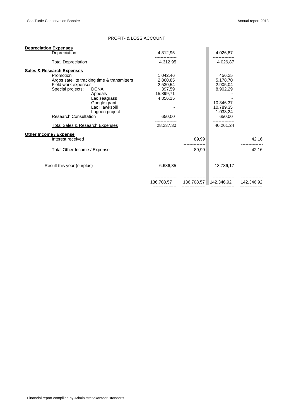## PROFIT- & LOSS ACCOUNT

| <b>Depreciation Expenses</b>               |                                              |            |            |            |            |
|--------------------------------------------|----------------------------------------------|------------|------------|------------|------------|
| Depreciation                               |                                              | 4.312,95   |            | 4.026,87   |            |
| <b>Total Depreciation</b>                  |                                              | 4.312,95   |            | 4.026,87   |            |
| <b>Sales &amp; Research Expenses</b>       |                                              |            |            |            |            |
| Promotion                                  |                                              | 1.042,46   |            | 456,25     |            |
|                                            | Argos satellite tracking time & transmitters | 2.860,85   |            | 5.178,70   |            |
| Field work expenses                        |                                              | 2.530,54   |            | 2.905,04   |            |
| Special projects:                          | <b>DCNA</b>                                  | 397,59     |            | 8.902,29   |            |
|                                            | Appeals                                      | 15.899,71  |            |            |            |
|                                            | Lac seagrass                                 | 4.856,15   |            |            |            |
|                                            | Google grant                                 |            |            | 10.346,37  |            |
|                                            | Lac Hawksbill                                |            |            | 10.789,35  |            |
|                                            | Lagoen project                               |            |            | 1.033,24   |            |
| <b>Research Consultation</b>               |                                              | 650,00     |            | 650,00     |            |
| <b>Total Sales &amp; Research Expenses</b> |                                              | 28.237,30  |            | 40.261,24  |            |
| Other Income / Expense                     |                                              |            |            |            |            |
| Interest received                          |                                              |            | 89,99      |            | 42,16      |
|                                            |                                              |            |            |            |            |
| Total Other Income / Expense               |                                              |            | 89,99      |            | 42,16      |
| Result this year (surplus)                 |                                              | 6.686,35   |            | 13.786,17  |            |
|                                            |                                              |            |            |            |            |
|                                            |                                              | 136.708.57 | 136.708.57 | 142.346.92 | 142.346.92 |
|                                            |                                              | =========  | =========  | =========  | ========   |
|                                            |                                              |            |            |            |            |